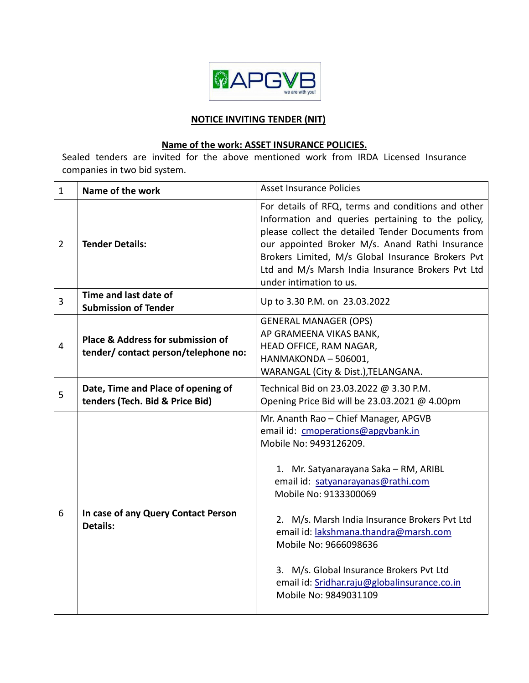

#### **NOTICE INVITING TENDER (NIT)**

# **Name of the work: ASSET INSURANCE POLICIES.**

Sealed tenders are invited for the above mentioned work from IRDA Licensed Insurance companies in two bid system.

| $\mathbf{1}$   | Name of the work                                                          | <b>Asset Insurance Policies</b>                                                                                                                                                                                                                                                                                                                                                                                                                       |
|----------------|---------------------------------------------------------------------------|-------------------------------------------------------------------------------------------------------------------------------------------------------------------------------------------------------------------------------------------------------------------------------------------------------------------------------------------------------------------------------------------------------------------------------------------------------|
| $\overline{2}$ | <b>Tender Details:</b>                                                    | For details of RFQ, terms and conditions and other<br>Information and queries pertaining to the policy,<br>please collect the detailed Tender Documents from<br>our appointed Broker M/s. Anand Rathi Insurance<br>Brokers Limited, M/s Global Insurance Brokers Pvt<br>Ltd and M/s Marsh India Insurance Brokers Pvt Ltd<br>under intimation to us.                                                                                                  |
| $\overline{3}$ | Time and last date of<br><b>Submission of Tender</b>                      | Up to 3.30 P.M. on 23.03.2022                                                                                                                                                                                                                                                                                                                                                                                                                         |
| $\overline{4}$ | Place & Address for submission of<br>tender/ contact person/telephone no: | <b>GENERAL MANAGER (OPS)</b><br>AP GRAMEENA VIKAS BANK,<br>HEAD OFFICE, RAM NAGAR,<br>HANMAKONDA - 506001,<br>WARANGAL (City & Dist.), TELANGANA.                                                                                                                                                                                                                                                                                                     |
| 5              | Date, Time and Place of opening of<br>tenders (Tech. Bid & Price Bid)     | Technical Bid on 23.03.2022 @ 3.30 P.M.<br>Opening Price Bid will be 23.03.2021 @ 4.00pm                                                                                                                                                                                                                                                                                                                                                              |
| 6              | In case of any Query Contact Person<br><b>Details:</b>                    | Mr. Ananth Rao - Chief Manager, APGVB<br>email id: cmoperations@apgvbank.in<br>Mobile No: 9493126209.<br>1. Mr. Satyanarayana Saka - RM, ARIBL<br>email id: satyanarayanas@rathi.com<br>Mobile No: 9133300069<br>2. M/s. Marsh India Insurance Brokers Pvt Ltd<br>email id: lakshmana.thandra@marsh.com<br>Mobile No: 9666098636<br>3. M/s. Global Insurance Brokers Pvt Ltd<br>email id: Sridhar.raju@globalinsurance.co.in<br>Mobile No: 9849031109 |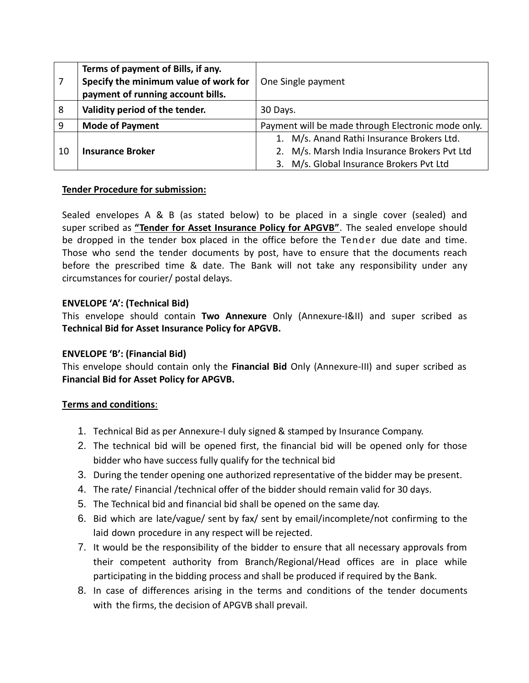|    | Terms of payment of Bills, if any.<br>Specify the minimum value of work for<br>payment of running account bills. | One Single payment                                 |
|----|------------------------------------------------------------------------------------------------------------------|----------------------------------------------------|
| 8  | Validity period of the tender.                                                                                   | 30 Days.                                           |
| 9  | <b>Mode of Payment</b>                                                                                           | Payment will be made through Electronic mode only. |
|    |                                                                                                                  | 1. M/s. Anand Rathi Insurance Brokers Ltd.         |
| 10 | <b>Insurance Broker</b>                                                                                          | 2. M/s. Marsh India Insurance Brokers Pvt Ltd      |
|    |                                                                                                                  | 3. M/s. Global Insurance Brokers Pvt Ltd           |

#### **Tender Procedure for submission:**

Sealed envelopes A & B (as stated below) to be placed in a single cover (sealed) and super scribed as **"Tender for Asset Insurance Policy for APGVB"**. The sealed envelope should be dropped in the tender box placed in the office before the Tender due date and time. Those who send the tender documents by post, have to ensure that the documents reach before the prescribed time & date. The Bank will not take any responsibility under any circumstances for courier/ postal delays.

## **ENVELOPE 'A': (Technical Bid)**

This envelope should contain **Two Annexure** Only (Annexure-I&II) and super scribed as **Technical Bid for Asset Insurance Policy for APGVB.**

## **ENVELOPE 'B': (Financial Bid)**

This envelope should contain only the **Financial Bid** Only (Annexure-III) and super scribed as **Financial Bid for Asset Policy for APGVB.**

#### **Terms and conditions**:

- 1. Technical Bid as per Annexure-I duly signed & stamped by Insurance Company.
- 2. The technical bid will be opened first, the financial bid will be opened only for those bidder who have success fully qualify for the technical bid
- 3. During the tender opening one authorized representative of the bidder may be present.
- 4. The rate/ Financial /technical offer of the bidder should remain valid for 30 days.
- 5. The Technical bid and financial bid shall be opened on the same day.
- 6. Bid which are late/vague/ sent by fax/ sent by email/incomplete/not confirming to the laid down procedure in any respect will be rejected.
- 7. It would be the responsibility of the bidder to ensure that all necessary approvals from their competent authority from Branch/Regional/Head offices are in place while participating in the bidding process and shall be produced if required by the Bank.
- 8. In case of differences arising in the terms and conditions of the tender documents with the firms, the decision of APGVB shall prevail.